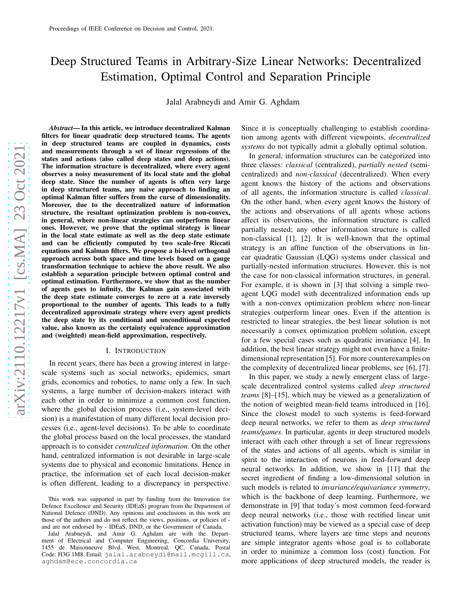# Deep Structured Teams in Arbitrary-Size Linear Networks: Decentralized Estimation, Optimal Control and Separation Principle

Jalal Arabneydi and Amir G. Aghdam

*Abstract*— In this article, we introduce decentralized Kalman filters for linear quadratic deep structured teams. The agents in deep structured teams are coupled in dynamics, costs and measurements through a set of linear regressions of the states and actions (also called deep states and deep actions). The information structure is decentralized, where every agent observes a noisy measurement of its local state and the globa l deep state. Since the number of agents is often very large in deep structured teams, any naive approach to finding an optimal Kalman filter suffers from the curse of dimensionality. Moreover, due to the decentralized nature of information structure, the resultant optimization problem is non-convex, in general, where non-linear strategies can outperform linear ones. However, we prove that the optimal strategy is linear in the local state estimate as well as the deep state estimate and can be efficiently computed by two scale-free Riccati equations and Kalman filters. We propose a bi-level orthogonal approach across both space and time levels based on a gauge transformation technique to achieve the above result. We also establish a separation principle between optimal control and optimal estimation. Furthermore, we show that as the number of agents goes to infinity, the Kalman gain associated with the deep state estimate converges to zero at a rate inversely proportional to the number of agents. This leads to a fully decentralized approximate strategy where every agent predicts the deep state by its conditional and unconditional expecte d value, also known as the certainty equivalence approximation and (weighted) mean-field approximation, respectively.

#### I. INTRODUCTION

In recent years, there has been a growing interest in largescale systems such as social networks, epidemics, smart grids, economics and robotics, to name only a few. In such systems, a large number of decision-makers interact with each other in order to minimize a common cost function, where the global decision process (i.e., system-level decision) is a manifestation of many different local decision processes (i.e., agent-level decisions). To be able to coordinate the global process based on the local processes, the standar d approach is to consider *centralized information*. On the other hand, centralized information is not desirable in large-scale systems due to physical and economic limitations. Hence in practice, the information set of each local decision-maker is often different, leading to a discrepancy in perspective .

Since it is conceptually challenging to establish coordina tion among agents with different viewpoints, *decentralized systems* do not typically admit a globally optimal solution.

In general, information structures can be categorized into three classes: *classical* (centralized), *partially nested* (semicentralized) and *non-classical* (decentralized). When every agent knows the history of the actions and observations of all agents, the information structure is called *classical* . On the other hand, when every agent knows the history of the actions and observations of all agents whose actions affect its observations, the information structure is called partially nested; any other information structure is calle d non-classical [1], [2]. It is well-known that the optimal strategy is an affine function of the observations in linear quadratic Gaussian (LQG) systems under classical and partially-nested information structures. However, this is not the case for non-classical information structures, in general. For example, it is shown in [3] that solving a simple twoagent LQG model with decentralized information ends up with a non-convex optimization problem where non-linear strategies outperform linear ones. Even if the attention is restricted to linear strategies, the best linear solution is not necessarily a convex optimization problem solution, excep t for a few special cases such as quadratic invariance [4]. In addition, the best linear strategy might not even have a finitedimensional representation [5]. For more counterexamples on the complexity of decentralized linear problems, see [6], [7].

In this paper, we study a newly emergent class of largescale decentralized control systems called *deep structured teams* [8]–[15], which may be viewed as a generalization of the notion of weighted mean-field teams introduced in [16]. Since the closest model to such systems is feed-forward deep neural networks, we refer to them as *deep structured teams/games*. In particular, agents in deep structured models interact with each other through a set of linear regressions of the states and actions of all agents, which is similar in spirit to the interaction of neurons in feed-forward deep neural networks. In addition, we show in [11] that the secret ingredient of finding a low-dimensional solution in such models is related to *invariance/equivariance symmetry* , which is the backbone of deep learning. Furthermore, we demonstrate in [9] that today's most common feed-forward deep neural networks (i.e., those with rectified linear unit activation function) may be viewed as a special case of deep structured teams, where layers are time steps and neurons are simple integrator agents whose goal is to collaborate in order to minimize a common loss (cost) function. For more applications of deep structured models, the reader is

This work was supported in part by funding from the Innovation for Defence Excellence and Security (IDEaS) program from the Department of National Defence (DND). Any opinions and conclusions in this work are those of the authors and do not reflect the views, positions, or policies of and are not endorsed by - IDEaS, DND, or the Government of Canada.

Jalal Arabneydi, and Amir G. Aghdam are with the Department of Electrical and Computer Engineering, Concordia University, 1455 de Maisonneuve Blvd. West, Montreal, QC, Canada, Posta l Code: H3G 1M8. Email: jalal.arabneydi@mail.mcgill.ca , aghdam@ece.concordia.ca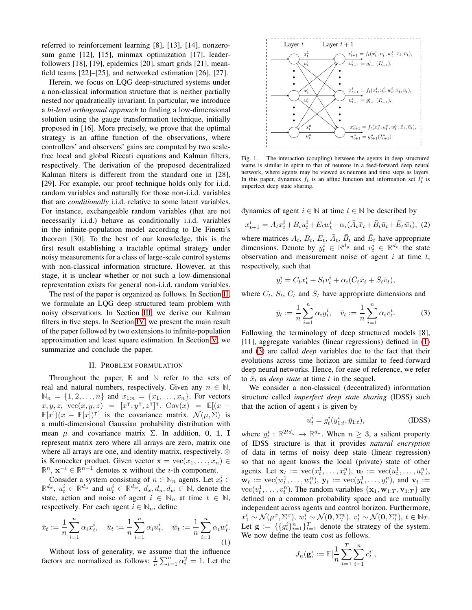referred to reinforcement learning [8], [13], [14], nonzerosum game [12], [15], minmax optimization [17], leaderfollowers [18], [19], epidemics [20], smart grids [21], meanfield teams [22]–[25], and networked estimation [26], [27].

Herein, we focus on LQG deep-structured systems under a non-classical information structure that is neither partially nested nor quadratically invariant. In particular, we introduce a *bi-level orthogonal approach* to finding a low-dimensional solution using the gauge transformation technique, initially proposed in [16]. More precisely, we prove that the optimal strategy is an affine function of the observations, where controllers' and observers' gains are computed by two scalefree local and global Riccati equations and Kalman filters, respectively. The derivation of the proposed decentralized Kalman filters is different from the standard one in [28], [29]. For example, our proof technique holds only for i.i.d. random variables and naturally for those non-i.i.d. variables that are *conditionally* i.i.d. relative to some latent variables. For instance, exchangeable random variables (that are not necessarily i.i.d.) behave as conditionally i.i.d. variables in the infinite-population model according to De Finetti's theorem [30]. To the best of our knowledge, this is the first result establishing a tractable optimal strategy under noisy measurements for a class of large-scale control systems with non-classical information structure. However, at this stage, it is unclear whether or not such a low-dimensional representation exists for general non-i.i.d. random variables.

The rest of the paper is organized as follows. In Section [II,](#page-1-0) we formulate an LQG deep structured team problem with noisy observations. In Section [III,](#page-2-0) we derive our Kalman filters in five steps. In Section [IV,](#page-5-0) we present the main result of the paper followed by two extensions to infinite-population approximation and least square estimation. In Section [V,](#page-6-0) we summarize and conclude the paper.

#### II. PROBLEM FORMULATION

<span id="page-1-0"></span>Throughout the paper, **R** and **N** refer to the sets of real and natural numbers, respectively. Given any  $n \in \mathbb{N}$ ,  $\mathbb{N}_n = \{1, 2, ..., n\}$  and  $x_{1:n} = \{x_1, ..., x_n\}$ . For vectors  $(x, y, z, \text{vec}(x, y, z)) = [x^{\mathsf{T}}, y^{\mathsf{T}}, z^{\mathsf{T}}]^{\mathsf{T}}$ .  $\text{Cov}(x) = \mathbb{E}[(x - y^{\mathsf{T}}), y^{\mathsf{T}}]$  $\mathbb{E}[x](x - \mathbb{E}[x])$ <sup>T</sup> is the covariance matrix.  $\mathcal{N}(\mu, \Sigma)$  is a multi-dimensional Gaussian probability distribution with mean  $\mu$  and covariance matrix  $\Sigma$ . In addition, 0, 1, I represent matrix zero where all arrays are zero, matrix one where all arrays are one, and identity matrix, respectively. ⊗ is Kronecker product. Given vector  $\mathbf{x} = \text{vec}(x_1, \dots, x_n) \in$  $\mathbb{R}^n$ ,  $\mathbf{x}^{-i} \in \mathbb{R}^{n-1}$  denotes x without the *i*-th component.

Consider a system consisting of  $n \in \mathbb{N}_n$  agents. Let  $x_t^i \in$  $\mathbb{R}^{d_x}$ ,  $u_t^i \in \mathbb{R}^{d_u}$  and  $w_t^i \in \mathbb{R}^{d_w}$ ,  $d_x, d_u, d_w \in \mathbb{N}$ , denote the state, action and noise of agent  $i \in \mathbb{N}_n$  at time  $t \in \mathbb{N}$ , respectively. For each agent  $i \in \mathbb{N}_n$ , define

$$
\bar{x}_t := \frac{1}{n} \sum_{i=1}^n \alpha_i x_t^i, \quad \bar{u}_t := \frac{1}{n} \sum_{i=1}^n \alpha_i u_t^i, \quad \bar{w}_t := \frac{1}{n} \sum_{i=1}^n \alpha_i w_t^i.
$$
\n(1)

Without loss of generality, we assume that the influence factors are normalized as follows:  $\frac{1}{n} \sum_{i=1}^{n} \alpha_i^2 = 1$ . Let the



Fig. 1. The interaction (coupling) between the agents in deep structured teams is similar in spirit to that of neurons in a feed-forward deep neural network, where agents may be viewed as neurons and time steps as layers. In this paper, dynamics  $f_t$  is an affine function and information set  $I_t^i$  is imperfect deep state sharing.

dynamics of agent  $i \in \mathbb{N}$  at time  $t \in \mathbb{N}$  be described by

$$
x_{t+1}^i = A_t x_t^i + B_t u_t^i + E_t w_t^i + \alpha_i (\bar{A}_t \bar{x}_t + \bar{B}_t \bar{u}_t + \bar{E}_t \bar{w}_t), (2)
$$

where matrices  $A_t$ ,  $B_t$ ,  $E_t$ ,  $\overline{A}_t$ ,  $\overline{B}_t$  and  $\overline{E}_t$  have appropriate dimensions. Denote by  $y_t^i \in \mathbb{R}^{d_y}$  and  $v_t^i \in \mathbb{R}^{d_v}$  the state observation and measurement noise of agent  $i$  at time  $t$ , respectively, such that

<span id="page-1-3"></span>
$$
y_t^i = C_t x_t^i + S_t v_t^i + \alpha_i (\bar{C}_t \bar{x}_t + \bar{S}_t \bar{v}_t),
$$

where  $C_t$ ,  $S_t$ ,  $\overline{C}_t$  and  $\overline{S}_t$  have appropriate dimensions and

<span id="page-1-2"></span>
$$
\bar{y}_t := \frac{1}{n} \sum_{i=1}^n \alpha_i y_t^i, \quad \bar{v}_t := \frac{1}{n} \sum_{i=1}^n \alpha_i v_t^i.
$$
 (3)

Following the terminology of deep structured models [8], [11], aggregate variables (linear regressions) defined in [\(1\)](#page-1-1) and [\(3\)](#page-1-2) are called *deep* variables due to the fact that their evolutions across time horizon are similar to feed-forward deep neural networks. Hence, for ease of reference, we refer to  $\bar{x}_t$  as *deep state* at time t in the sequel.

We consider a non-classical (decentralized) information structure called *imperfect deep state sharing* (IDSS) such that the action of agent  $i$  is given by

$$
u_t^i = g_t^i(y_{1:t}^i, \bar{y}_{1:t}),
$$
 (IDSS)

where  $g_t^i : \mathbb{R}^{2td_y} \to \mathbb{R}^{d_u}$ . When  $n \geq 3$ , a salient property of IDSS structure is that it provides *natural encryption* of data in terms of noisy deep state (linear regression) so that no agent knows the local (private) state of other agents. Let  $\mathbf{x}_t := \text{vec}(x_t^1, \dots, x_t^n), \mathbf{u}_t := \text{vec}(u_t^1, \dots, u_t^n),$  $\mathbf{w}_t := \text{vec}(w_t^1, \dots, w_t^n), \mathbf{y}_t := \text{vec}(y_t^1, \dots, y_t^n), \text{ and } \mathbf{v}_t :=$  $\text{vec}(v_t^1, \dots, v_t^n)$ . The random variables  $\{\mathbf{x}_1, \mathbf{w}_{1:T}, \mathbf{v}_{1:T}\}$  are defined on a common probability space and are mutually independent across agents and control horizon. Furthermore,  $x_1^i \sim \mathcal{N}(\mu^x, \Sigma^x), w_t^i \sim \mathcal{N}(\mathbf{0}, \Sigma_t^w), v_t^i \sim \mathcal{N}(\mathbf{0}, \Sigma_t^v), t \in \mathbb{N}_T.$ Let  $\mathbf{g} := \{\{g_t^i\}_{i=1}^n\}_{t=1}^T$  denote the strategy of the system. We now define the team cost as follows.

<span id="page-1-1"></span>
$$
J_n(\mathbf{g}) := \mathbb{E}[\frac{1}{n} \sum_{t=1}^T \sum_{i=1}^n c_t^i],
$$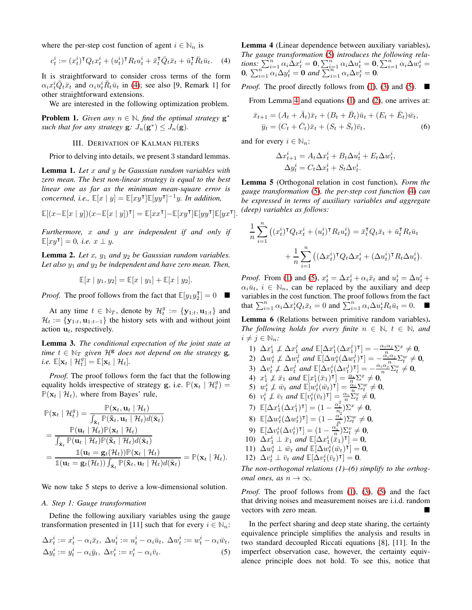where the per-step cost function of agent  $i \in \mathbb{N}_n$  is

$$
c_t^i := (x_t^i)^\mathsf{T} Q_t x_t^i + (u_t^i)^\mathsf{T} R_t u_t^i + \bar{x}_t^\mathsf{T} \bar{Q}_t \bar{x}_t + \bar{u}_t^\mathsf{T} \bar{R}_t \bar{u}_t. \tag{4}
$$

It is straightforward to consider cross terms of the form  $\alpha_i x_t^i \tilde{Q}_t \bar{x}_t$  and  $\alpha_i u_t^i \tilde{R}_t \bar{u}_t$  in [\(4\)](#page-2-1); see also [9, Remark 1] for other straightforward extensions.

We are interested in the following optimization problem.

<span id="page-2-9"></span><span id="page-2-0"></span>**Problem 1.** *Given any*  $n \in \mathbb{N}$ *, find the optimal strategy*  $\mathbf{g}^*$ *such that for any strategy*  $\mathbf{g}: J_n(\mathbf{g}^*) \leq J_n(\mathbf{g})$ .

## III. DERIVATION OF KALMAN FILTERS

Prior to delving into details, we present 3 standard lemmas.

<span id="page-2-7"></span>Lemma 1. *Let* x *and* y *be Gaussian random variables with zero mean. The best non-linear strategy is equal to the best linear one as far as the minimum mean-square error is*  $concerned, i.e., \mathbb{E}[x \mid y] = \mathbb{E}[xy^{\mathsf{T}}] \mathbb{E}[yy^{\mathsf{T}}]^{-1}y.$  In addition,

$$
\mathbb{E}[(x-\mathbb{E}[x \mid y])(x-\mathbb{E}[x \mid y])^\intercal]=\mathbb{E}[xx^\intercal]-\mathbb{E}[xy^\intercal]\mathbb{E}[yy^\intercal]\mathbb{E}[yx^\intercal].
$$

*Furthermore,* x *and* y *are independent if and only if*  $\mathbb{E}[xy^{\mathsf{T}}] = 0$ , *i.e.*  $x \perp y$ .

<span id="page-2-6"></span>**Lemma 2.** Let  $x$ ,  $y_1$  and  $y_2$  be Gaussian random variables. *Let also* y<sup>1</sup> *and* y<sup>2</sup> *be independent and have zero mean. Then,*

$$
\mathbb{E}[x \mid y_1, y_2] = \mathbb{E}[x \mid y_1] + \mathbb{E}[x \mid y_2].
$$

*Proof.* The proof follows from the fact that  $\mathbb{E}[y_1 y_2^{\mathsf{T}}] = 0$ 

At any time  $t \in \mathbb{N}_T$ , denote by  $\mathcal{H}_t^g := \{ \mathbf{y}_{1:t}, \mathbf{u}_{1:t} \}$  and  $\mathcal{H}_t := \{ \mathbf{y}_{1:t}, \mathbf{u}_{1:t-1} \}$  the history sets with and without joint action  $\mathbf{u}_t$ , respectively.

<span id="page-2-5"></span>Lemma 3. *The conditional expectation of the joint state at time*  $t \in \mathbb{N}_T$  *given*  $\mathcal{H}^g$  *does not depend on the strategy* **g**,  $i.e. \mathbb{E}[\mathbf{x}_t \mid \mathcal{H}_t^g] = \mathbb{E}[\mathbf{x}_t \mid \mathcal{H}_t].$ 

*Proof.* The proof follows form the fact that the following equality holds irrespective of strategy g, i.e.  $\mathbb{P}(\mathbf{x}_t | \mathcal{H}_t^g)$  $\mathbb{P}(\mathbf{x}_t | \mathcal{H}_t)$ , where from Bayes' rule,

$$
\mathbb{P}(\mathbf{x}_t | \mathcal{H}_t^g) = \frac{\mathbb{P}(\mathbf{x}_t, \mathbf{u}_t | \mathcal{H}_t)}{\int_{\tilde{\mathbf{x}}_t} \mathbb{P}(\tilde{\mathbf{x}}_t, \mathbf{u}_t | \mathcal{H}_t) d(\tilde{\mathbf{x}}_t)} \n= \frac{\mathbb{P}(\mathbf{u}_t | \mathcal{H}_t) \mathbb{P}(\mathbf{x}_t | \mathcal{H}_t)}{\int_{\tilde{\mathbf{x}}_t} \mathbb{P}(\mathbf{u}_t | \mathcal{H}_t) \mathbb{P}(\tilde{\mathbf{x}}_t | \mathcal{H}_t) d(\tilde{\mathbf{x}}_t)} \n= \frac{\mathbb{1}(\mathbf{u}_t = \mathbf{g}_t(\mathcal{H}_t)) \mathbb{P}(\mathbf{x}_t | \mathcal{H}_t)}{\mathbb{1}(\mathbf{u}_t = \mathbf{g}_t(\mathcal{H}_t)) \int_{\tilde{\mathbf{x}}_t} \mathbb{P}(\tilde{\mathbf{x}}_t, \mathbf{u}_t | \mathcal{H}_t) d(\tilde{\mathbf{x}}_t)} = \mathbb{P}(\mathbf{x}_t | \mathcal{H}_t).
$$

We now take 5 steps to derive a low-dimensional solution.

## *A. Step 1: Gauge transformation*

Define the following auxiliary variables using the gauge transformation presented in [11] such that for every  $i \in \mathbb{N}_n$ :

$$
\Delta x_t^i := x_t^i - \alpha_i \bar{x}_t, \ \Delta u_t^i := u_t^i - \alpha_i \bar{u}_t, \ \Delta w_t^i := w_t^i - \alpha_i \bar{w}_t, \n\Delta y_t^i := y_t^i - \alpha_i \bar{y}_t, \ \Delta v_t^i := v_t^i - \alpha_i \bar{v}_t.
$$
\n(5)

<span id="page-2-3"></span><span id="page-2-1"></span>Lemma 4 (Linear dependence between auxiliary variables). *The gauge transformation* [\(5\)](#page-2-2) *introduces the following rela*tions:  $\sum_{i=1}^n \alpha_i \Delta x_t^i = \mathbf{0}, \sum_{i=1}^n \alpha_i \Delta u_t^i = \mathbf{0}, \sum_{i=1}^n \alpha_i \tilde{\Delta} w_t^i =$ **0**,  $\sum_{i=1}^{n} \alpha_i \Delta y_t^i = 0$  and  $\sum_{i=1}^{n} \alpha_i \Delta v_t^i = 0$ .

*Proof.* The proof directly follows from [\(1\)](#page-1-1), [\(3\)](#page-1-2) and [\(5\)](#page-2-2).  $\blacksquare$ 

From Lemma [4](#page-2-3) and equations [\(1\)](#page-1-1) and [\(2\)](#page-1-3), one arrives at:

$$
\bar{x}_{t+1} = (A_t + \bar{A}_t)\bar{x}_t + (B_t + \bar{B}_t)\bar{u}_t + (E_t + \bar{E}_t)\bar{w}_t, \n\bar{y}_t = (C_t + \bar{C}_t)\bar{x}_t + (S_t + \bar{S}_t)\bar{v}_t,
$$
\n(6)

and for every  $i \in \mathbb{N}_n$ :

<span id="page-2-8"></span>
$$
\Delta x_{t+1}^i = A_t \Delta x_t^i + B_t \Delta u_t^i + E_t \Delta w_t^i,
$$
  

$$
\Delta y_t^i = C_t \Delta x_t^i + S_t \Delta v_t^i.
$$

<span id="page-2-10"></span>Lemma 5 (Orthogonal relation in cost function). *Form the gauge transformation* [\(5\)](#page-2-2)*, the per-step cost function* [\(4\)](#page-2-1) *can be expressed in terms of auxiliary variables and aggregate (deep) variables as follows:*

$$
\frac{1}{n} \sum_{i=1}^{n} \left( (x_t^i)^{\mathsf{T}} Q_t x_t^i + (u_t^i)^{\mathsf{T}} R_t u_t^i \right) = \bar{x}_t^{\mathsf{T}} Q_t \bar{x}_t + \bar{u}_t^{\mathsf{T}} R_t \bar{u}_t
$$

$$
+ \frac{1}{n} \sum_{i=1}^{n} \left( (\Delta x_t^i)^{\mathsf{T}} Q_t \Delta x_t^i + (\Delta u_t^i)^{\mathsf{T}} R_t \Delta u_t^i \right).
$$

*Proof.* From [\(1\)](#page-1-1) and [\(5\)](#page-2-2),  $x_t^i = \Delta x_t^i + \alpha_i \bar{x}_t$  and  $u_t^i = \Delta u_t^i + \Delta u_t^i$  $\alpha_i \bar{u}_t$ ,  $i \in \mathbb{N}_n$ , can be replaced by the auxiliary and deep variables in the cost function. The proof follows from the fact that  $\sum_{i=1}^{n} \alpha_i \Delta x_t^i Q_t \bar{x}_t = 0$  and  $\sum_{i=1}^{n} \alpha_i \Delta u_t^i R_t \bar{u}_t = 0$ .

<span id="page-2-4"></span>Lemma 6 (Relations between primitive random variables). *The following holds for every finite*  $n \in \mathbb{N}$ *, t*  $\in \mathbb{N}$ *, and*  $i \neq j \in \mathbb{N}_n$ :

1)  $\Delta x_1^i \not\perp \Delta x_1^j$  and  $\mathbb{E}[\Delta x_1^i(\Delta x_1^j)^\intercal] = -\frac{\alpha_i \alpha_j}{n} \Sigma^x \neq \mathbf{0}$ , 2)  $\Delta w_t^i \not\perp \Delta w_t^j$  and  $\mathbb{E}[\Delta w_t^i(\Delta w_t^j)^\intercal] = -\frac{\alpha_i \alpha_j}{n} \Sigma_t^w \neq \mathbf{0}$ , 3)  $\Delta v_t^i \not\perp \Delta v_t^j$  and  $\mathbb{E}[\Delta v_t^i(\Delta v_t^j)^{\intercal}] = -\frac{\alpha_i \alpha_j^i}{n} \Sigma_t^v \neq \mathbf{0}$ , 4)  $x_1^i \not\perp \bar{x}_1$  and  $\mathbb{E}[x_1^i(\bar{x}_1)^{\intercal}] = \frac{\alpha_i}{n} \Sigma^x \neq 0$ , 5)  $w_t^i \not\perp \bar{w}_t$  and  $\mathbb{E}[w_t^i(\bar{w}_t)^{\mathsf{T}}] = \frac{\alpha_i}{n} \Sigma_t^w \neq \mathbf{0}$ ,  $\frac{i}{t}(\bar{w}_t)^{\intercal}]=\frac{\alpha_i}{n}\Sigma$ 6)  $v_t^i \not\perp \bar{v}_t$  and  $\mathbb{E}[v_t^i(\bar{v}_t)^{\intercal}] = \frac{\alpha_i}{n} \sum_{t=0}^{n} v_t \neq 0$ , 7)  $\mathbb{E}[\Delta x_1^i(\Delta x_1^i)^{\mathsf{T}}] = (1 - \frac{\alpha_i^2}{n_2})^{\sum x} \neq \mathbf{0},$ 8)  $\mathbb{E}[\Delta w_t^i(\Delta w_t^i)^{\mathsf{T}}] = (1 - \frac{\alpha_i^2}{n})\Sigma_t^w \neq \mathbf{0},$ 9)  $\mathbb{E}[\Delta v_t^i(\Delta v_t^i)^{\mathsf{T}}] = (1 - \frac{\alpha_i^2}{n})\Sigma_t^v \neq \mathbf{0},$ 10)  $\Delta x_1^i \perp \bar{x}_1$  *and*  $\mathbb{E}[\Delta x_1^i(\bar{x}_1)^{\intercal}] = 0$ , 11)  $\Delta w_t^i \perp \bar{w}_t$  and  $\mathbb{E}[\Delta w_t^i(\bar{w}_t)^{\mathsf{T}}] = \mathbf{0}$ , 12)  $\Delta v_t^i \perp \bar{v}_t$  and  $\mathbb{E}[\Delta v_t^i(\bar{v}_t)^{\mathsf{T}}] = \mathbf{0}$ .

*The non-orthogonal relations (1)–(6) simplify to the orthogonal ones, as*  $n \to \infty$ *.* 

*Proof.* The proof follows from [\(1\)](#page-1-1), [\(3\)](#page-1-2), [\(5\)](#page-2-2) and the fact that driving noises and measurement noises are i.i.d. random vectors with zero mean.

<span id="page-2-2"></span>In the perfect sharing and deep state sharing, the certainty equivalence principle simplifies the analysis and results in two standard decoupled Riccati equations [8], [11]. In the imperfect observation case, however, the certainty equivalence principle does not hold. To see this, notice that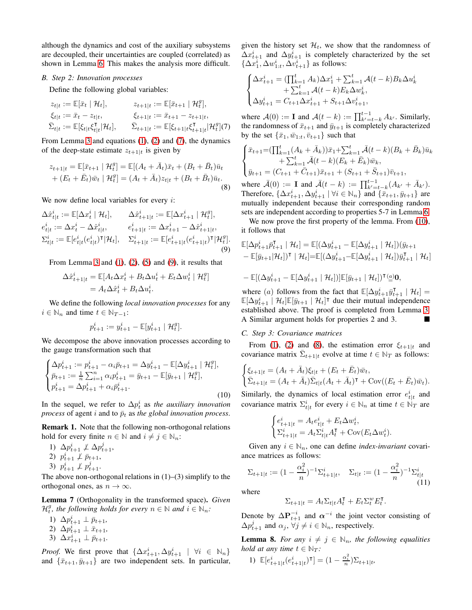although the dynamics and cost of the auxiliary subsystems are decoupled, their uncertainties are coupled (correlated) as shown in Lemma [6.](#page-2-4) This makes the analysis more difficult.

#### *B. Step 2: Innovation processes*

Define the following global variables:

$$
z_{t|t} := \mathbb{E}[\bar{x}_t | \mathcal{H}_t], \qquad z_{t+1|t} := \mathbb{E}[\bar{x}_{t+1} | \mathcal{H}_t^g],
$$
  
\n
$$
\xi_{t|t} := \bar{x}_t - z_{t|t}, \qquad \xi_{t+1|t} := \bar{x}_{t+1} - z_{t+1|t},
$$
  
\n
$$
\bar{\Sigma}_{t|t} := \mathbb{E}[\xi_t|t\xi_{t|t}|\mathcal{H}_t], \qquad \bar{\Sigma}_{t+1|t} := \mathbb{E}[\xi_{t+1|t}\xi_{t+1|t}|\mathcal{H}_t^g](7)
$$

From Lemma [3](#page-2-5) and equations [\(1\)](#page-1-1), [\(2\)](#page-1-3) and [\(7\)](#page-3-0), the dynamics of the deep-state estimate  $z_{t+1|t}$  is given by

$$
z_{t+1|t} = \mathbb{E}[\bar{x}_{t+1} | \mathcal{H}_t^g] = \mathbb{E}[(A_t + \bar{A}_t)\bar{x}_t + (B_t + \bar{B}_t)\bar{u}_t
$$
  
+ 
$$
(E_t + \bar{E}_t)\bar{w}_t | \mathcal{H}_t^g] = (A_t + \bar{A}_t)z_{t|t} + (B_t + \bar{B}_t)\bar{u}_t.
$$
  
(8)

We now define local variables for every  $i$ :

$$
\Delta \hat{x}_{t|t}^i := \mathbb{E}[\Delta x_t^i \mid \mathcal{H}_t], \qquad \Delta \hat{x}_{t+1|t}^i := \mathbb{E}[\Delta x_{t+1}^i \mid \mathcal{H}_t^g],
$$
\n
$$
e_{t|t}^i := \Delta x_t^i - \Delta \hat{x}_{t|t}^i, \qquad e_{t+1|t}^i := \Delta x_{t+1}^i - \Delta \hat{x}_{t+1|t}^i,
$$
\n
$$
\Sigma_{t|t}^i := \mathbb{E}[e_{t|t}^i(e_{t|t}^i)^\mathsf{T} | \mathcal{H}_t], \quad \Sigma_{t+1|t}^i := \mathbb{E}[e_{t+1|t}^i(e_{t+1|t}^i)^\mathsf{T} | \mathcal{H}_t^g].
$$
\n(9)

From Lemma [3](#page-2-5) and  $(1)$ ,  $(2)$ ,  $(5)$  and  $(9)$ , it results that

$$
\begin{aligned} \Delta \hat{x}_{t+1|t}^i &= \mathbb{E}[A_t \Delta x_t^i + B_t \Delta u_t^i + E_t \Delta w_t^i \mid \mathcal{H}_t^g] \\ &= A_t \Delta \hat{x}_t^i + B_t \Delta u_t^i. \end{aligned}
$$

We define the following *local innovation processes* for any  $i \in \mathbb{N}_n$  and time  $t \in \mathbb{N}_{T-1}$ :

$$
p_{t+1}^i := y_{t+1}^i - \mathbb{E}[y_{t+1}^i \mid \mathcal{H}_t^g].
$$

We decompose the above innovation processes according to the gauge transformation such that

$$
\begin{cases} \Delta p_{t+1}^i := p_{t+1}^i - \alpha_i \bar{p}_{t+1} = \Delta y_{t+1}^i - \mathbb{E}[\Delta y_{t+1}^i \mid \mathcal{H}_t^g],\\ \bar{p}_{t+1} := \frac{1}{n} \sum_{i=1}^n \alpha_i p_{t+1}^i = \bar{y}_{t+1} - \mathbb{E}[\bar{y}_{t+1} \mid \mathcal{H}_t^g],\\ p_{t+1}^i = \Delta p_{t+1}^i + \alpha_i \bar{p}_{t+1}^i. \end{cases}
$$
\n(10)

In the sequel, we refer to  $\Delta p_t^i$  as *the auxiliary innovation process* of agent i and to  $\bar{p}_t$  as the global innovation process.

Remark 1. Note that the following non-orthogonal relations hold for every finite  $n \in \mathbb{N}$  and  $i \neq j \in \mathbb{N}_n$ :

1)  $\Delta p_{t+1}^i \not\perp \Delta p_{t+1}^j$ , 2)  $p_{t+1}^i \not\perp \bar{p}_{t+1}$ , 3)  $p_{t+1}^i \not\perp p_{t+1}^j$ .

The above non-orthogonal relations in  $(1)$ – $(3)$  simplify to the orthogonal ones, as  $n \to \infty$ .

<span id="page-3-5"></span>Lemma 7 (Orthogonality in the transformed space). *Given*  $\mathcal{H}_t^g$ , the following holds for every  $n \in \mathbb{N}$  and  $i \in \mathbb{N}_n$ :

- 1)  $\Delta p_{t+1}^i \perp \bar{p}_{t+1}$ ,
- 2)  $\Delta p_{t+1}^i \perp \bar{x}_{t+1}$ ,
- 3)  $\Delta x_{t+1}^i \perp \bar{p}_{t+1}$ .

*Proof.* We first prove that  $\{\Delta x_{t+1}^i, \Delta y_{t+1}^i \mid \forall i \in \mathbb{N}_n\}$ and  $\{\bar{x}_{t+1}, \bar{y}_{t+1}\}$  are two independent sets. In particular, given the history set  $\mathcal{H}_t$ , we show that the randomness of  $\Delta x_{t+1}^i$  and  $\Delta y_{t+1}^i$  is completely characterized by the set  $\{\Delta x_1^i, \Delta w_{1:t}^i, \Delta v_{t+1}^i\}$  as follows:

$$
\begin{cases} \Delta x_{t+1}^i = (\prod_{k=1}^t A_k) \Delta x_1^i + \sum_{k=1}^t \mathcal{A}(t-k) B_k \Delta u_k^i \\qquad \qquad + \sum_{k=1}^t \mathcal{A}(t-k) E_k \Delta w_k^i, \\ \Delta y_{t+1}^i = C_{t+1} \Delta x_{t+1}^i + S_{t+1} \Delta v_{t+1}^i, \end{cases}
$$

<span id="page-3-0"></span>where  $A(0) := I$  and  $A(t - k) := \prod_{k'=t-k}^{t-1} A_{k'}$ . Similarly, the randomness of  $\bar{x}_{t+1}$  and  $\bar{y}_{t+1}$  is completely characterized by the set  $\{\bar{x}_1, \bar{w}_{1:t}, \bar{v}_{t+1}\}$  such that

$$
\begin{cases} \bar{x}_{t+1} = (\prod_{k=1}^{t} (A_k + \bar{A}_k)) \bar{x}_1 + \sum_{k=1}^{t} \bar{\mathcal{A}}(t-k) (B_k + \bar{B}_k) \bar{u}_k + \sum_{k=1}^{t} \bar{\mathcal{A}}(t-k) (E_k + \bar{E}_k) \bar{w}_k, \\ \bar{y}_{t+1} = (C_{t+1} + \bar{C}_{t+1}) \bar{x}_{t+1} + (S_{t+1} + \bar{S}_{t+1}) \bar{v}_{t+1}, \end{cases}
$$

<span id="page-3-3"></span>where  $\bar{\mathcal{A}}(0) := \mathbf{I}$  and  $\bar{\mathcal{A}}(t - k) := \prod_{k'=t-k}^{t-1} (A_{k'} + \bar{A}_{k'}).$ Therefore,  $\{\Delta x_{t+1}^i, \Delta y_{t+1}^i \mid \forall i \in \mathbb{N}_n\}$  and  $\{\bar{x}_{t+1}, \bar{y}_{t+1}\}$  are mutually independent because their corresponding random sets are independent according to properties 5-7 in Lemma [6.](#page-2-4)

We now prove the first property of the lemma. From  $(10)$ , it follows that

<span id="page-3-1"></span>
$$
\mathbb{E}[\Delta p_{t+1}^i \bar{p}_{t+1}^\mathsf{T} \mid \mathcal{H}_t] = \mathbb{E}[(\Delta y_{t+1}^i - \mathbb{E}[\Delta y_{t+1}^i \mid \mathcal{H}_t])(\bar{y}_{t+1} - \mathbb{E}[\bar{y}_{t+1}|\mathcal{H}_t])^\mathsf{T} \mid \mathcal{H}_t] = \mathbb{E}[(\Delta y_{t+1}^i - \mathbb{E}[\Delta y_{t+1}^i \mid \mathcal{H}_t])\bar{y}_{t+1}^\mathsf{T} \mid \mathcal{H}_t]
$$

$$
-\mathbb{E}[(\Delta y_{t+1}^i - \mathbb{E}[\Delta y_{t+1}^i \mid \mathcal{H}_t])] \mathbb{E}[\bar{y}_{t+1} \mid \mathcal{H}_t])^{\intercal} (\underline{a}) \mathbf{0},
$$

where (a) follows from the fact that  $\mathbb{E}[\Delta y_{t+1}^i \bar{y}_{t+1}^\mathsf{T} | \mathcal{H}_t] =$  $\mathbb{E}[\Delta y_{t+1}^i \mid \mathcal{H}_t] \mathbb{E}[\bar{y}_{t+1} \mid \mathcal{H}_t]^\intercal$  due their mutual independence established above. The proof is completed from Lemma [3.](#page-2-5) A Similar argument holds for properties 2 and 3.

## *C. Step 3: Covariance matrices*

From [\(1\)](#page-1-1), [\(2\)](#page-1-3) and [\(8\)](#page-3-3), the estimation error  $\xi_{t+1|t}$  and covariance matrix  $\bar{\Sigma}_{t+1|t}$  evolve at time  $t \in \mathbb{N}_T$  as follows:

$$
\begin{cases} \xi_{t+1|t} = (A_t + \bar{A}_t)\xi_{t|t} + (E_t + \bar{E}_t)\bar{w}_t, \\ \bar{\Sigma}_{t+1|t} = (A_t + \bar{A}_t)\bar{\Sigma}_{t|t}(A_t + \bar{A}_t)^{\mathsf{T}} + \text{Cov}((E_t + \bar{E}_t)\bar{w}_t). \end{cases}
$$

<span id="page-3-2"></span>Similarly, the dynamics of local estimation error  $e_{t|t}^{i}$  and covariance matrix  $\Sigma_{t|t}^i$  for every  $i \in \mathbb{N}_n$  at time  $t \in \mathbb{N}_T$  are

$$
\begin{cases} e_{t+1|t}^i = A_t e_{t|t}^i + E_t \Delta w_t^i, \\ \Sigma_{t+1|t}^i = A_t \Sigma_{t|t}^i A_t^{\mathsf{T}} + \text{Cov}(E_t \Delta w_t^i). \end{cases}
$$

Given any  $i \in \mathbb{N}_n$ , one can define *index-invariant* covariance matrices as follows:

$$
\Sigma_{t+1|t} := (1 - \frac{\alpha_i^2}{n})^{-1} \Sigma_{t+1|t}^i, \quad \Sigma_{t|t} := (1 - \frac{\alpha_i^2}{n})^{-1} \Sigma_{t|t}^i
$$
\n(11)

where

<span id="page-3-4"></span>
$$
\Sigma_{t+1|t} = A_t \Sigma_{t|t} A_t^{\mathsf{T}} + E_t \Sigma_t^w E_t^{\mathsf{T}}.
$$

Denote by  $\Delta P_{t+1}^{-i}$  and  $\alpha^{-i}$  the joint vector consisting of  $\Delta p_{t+1}^j$  and  $\alpha_j$ ,  $\forall j \neq i \in \mathbb{N}_n$ , respectively.

<span id="page-3-6"></span>**Lemma 8.** *For any*  $i \neq j \in \mathbb{N}_n$ , the following equalities *hold at any time*  $t \in \mathbb{N}_T$ *:* 

1) 
$$
\mathbb{E}[e_{t+1|t}^i(e_{t+1|t}^i)^{\intercal}] = (1 - \tfrac{\alpha_i^2}{n})\Sigma_{t+1|t},
$$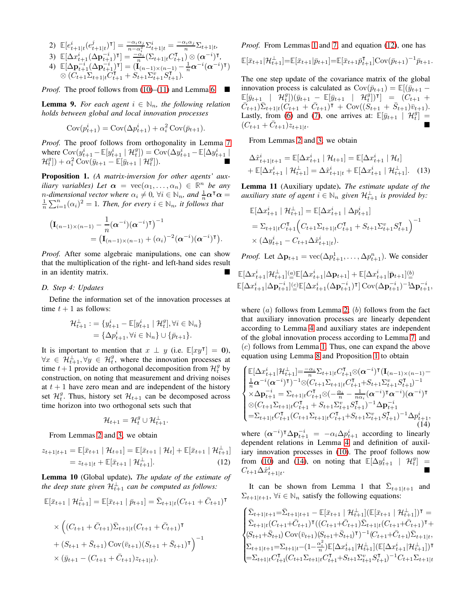2) 
$$
\mathbb{E}[e_{t+1|t}^i(e_{t+1|t}^j)^{\mathsf{T}}] = \frac{-\alpha_i \alpha_j}{n - \alpha_i^2} \Sigma_{t+1|t}^i = \frac{-\alpha_i \alpha_j}{n} \Sigma_{t+1|t},
$$

3) 
$$
\mathbb{E}[\Delta x_{t+1}^i(\Delta \mathbf{p}_{t+1}^{-i})^{\intercal}] = \frac{-\alpha_i}{n} (\Sigma_{t+1|t} C_{t+1}^{\intercal}) \otimes (\alpha^{-i})^{\intercal},
$$

4) 
$$
\mathbb{E}[\Delta \mathbf{p}_{t+1}^{-i} (\Delta \mathbf{p}_{t+1}^{-i})^{\mathsf{T}}] = (\mathbf{I}_{(n-1)\times (n-1)} - \frac{1}{n} \alpha^{-i} (\alpha^{-i})^{\mathsf{T}})
$$

$$
\otimes (C_{t+1} \Sigma_{t+1|t} C_{t+1}^{\mathsf{T}} + S_{t+1} \Sigma_{t+1}^v S_{t+1}^{\mathsf{T}}).
$$

*Proof.* The proof follows from [\(10\)](#page-3-2)–[\(11\)](#page-3-4) and Lemma [6.](#page-2-4)

**Lemma 9.** For each agent  $i \in \mathbb{N}_n$ , the following relation *holds between global and local innovation processes*

$$
Cov(p_{t+1}^i) = Cov(\Delta p_{t+1}^i) + \alpha_i^2 Cov(\bar{p}_{t+1}).
$$

*Proof.* The proof follows from orthogonality in Lemma [7](#page-3-5) where  $Cov(y_{t+1}^i - \mathbb{E}[y_{t+1}^i \mid \mathcal{H}_t^g]) = Cov(\Delta y_{t+1}^i - \mathbb{E}[\Delta y_{t+1}^i \mid$  $\mathcal{H}_t^g]) + \alpha_i^2 \, \widetilde{\text{Cov}}(\bar{y}_{t+1} - \mathbb{E}[\bar{y}_{t+1} \mid \mathcal{H}_t^g])$  $\Box$ ).

<span id="page-4-1"></span>Proposition 1. *(A matrix-inversion for other agents' auxiliary variables)* Let  $\alpha = \text{vec}(\alpha_1, \dots, \alpha_n) \in \mathbb{R}^n$  be any *n*-dimensional vector where  $\alpha_i \neq 0$ ,  $\forall i \in \mathbb{N}_n$ , and  $\frac{1}{n} \alpha^{\mathsf{T}} \alpha =$  $\frac{1}{n}\sum_{i=1}^{n}(\alpha_i)^2=1$ . Then, for every  $i \in \mathbb{N}_n$ , it follows that

$$
\begin{split} \left(\mathbf{I}_{(n-1)\times(n-1)}-\frac{1}{n}(\boldsymbol{\alpha}^{-i})(\boldsymbol{\alpha}^{-i})^{\mathsf{T}}\right)^{-1}\\&=\left(\mathbf{I}_{(n-1)\times(n-1)}+(\alpha_i)^{-2}(\boldsymbol{\alpha}^{-i})(\boldsymbol{\alpha}^{-i})^{\mathsf{T}}\right). \end{split}
$$

*Proof.* After some algebraic manipulations, one can show that the multiplication of the right- and left-hand sides result in an identity matrix.

# *D. Step 4: Updates*

Define the information set of the innovation processes at time  $t + 1$  as follows:

$$
\mathcal{H}_{t+1}^{\perp} := \{ y_{t+1}^i - \mathbb{E}[y_{t+1}^i \mid \mathcal{H}_t^g], \forall i \in \mathbb{N}_n \} = \{ \Delta p_{t+1}^i, \forall i \in \mathbb{N}_n \} \cup \{ \bar{p}_{t+1} \}.
$$

It is important to mention that  $x \perp y$  (i.e.  $\mathbb{E}[xy^{\dagger}] = 0$ ),  $\forall x \in \mathcal{H}_{t+1}^{\perp}, \forall y \in \mathcal{H}_t^g$ , where the innovation processes at time  $t+1$  provide an orthogonal decomposition from  $\mathcal{H}_t^g$  by construction, on noting that measurement and driving noises at  $t + 1$  have zero mean and are independent of the history set  $\mathcal{H}_t^g$ . Thus, history set  $\mathcal{H}_{t+1}$  can be decomposed across time horizon into two orthogonal sets such that

$$
\mathcal{H}_{t+1} = \mathcal{H}_t^g \cup \mathcal{H}_{t+1}^\perp.
$$

From Lemmas [2](#page-2-6) and [3,](#page-2-5) we obtain

$$
z_{t+1|t+1} = \mathbb{E}[\bar{x}_{t+1} | \mathcal{H}_{t+1}] = \mathbb{E}[\bar{x}_{t+1} | \mathcal{H}_t] + \mathbb{E}[\bar{x}_{t+1} | \mathcal{H}_{t+1}^{\perp}]
$$
  
=  $z_{t+1|t} + \mathbb{E}[\bar{x}_{t+1} | \mathcal{H}_{t+1}^{\perp}].$  (12)

<span id="page-4-4"></span>Lemma 10 (Global update). *The update of the estimate of* the deep state given  $\mathcal{H}_{t+1}^{\perp}$  can be computed as follows:

$$
\mathbb{E}[\bar{x}_{t+1} | \mathcal{H}_{t+1}^{\perp}] = \mathbb{E}[\bar{x}_{t+1} | \bar{p}_{t+1}] = \bar{\Sigma}_{t+1|t}(C_{t+1} + \bar{C}_{t+1})^{\mathsf{T}}
$$

$$
\times \left( (C_{t+1} + \bar{C}_{t+1}) \bar{\Sigma}_{t+1|t}(C_{t+1} + \bar{C}_{t+1})^{\mathsf{T}} \right)
$$

+ 
$$
(S_{t+1} + \bar{S}_{t+1}) \text{Cov}(\bar{v}_{t+1})(S_{t+1} + \bar{S}_{t+1})^{\mathsf{T}})^{-1}
$$
  
×  $(\bar{y}_{t+1} - (C_{t+1} + \bar{C}_{t+1})z_{t+1|t}).$ 

*Proof.* From Lemmas [1](#page-2-7) and [7,](#page-3-5) and equation [\(12\)](#page-4-0), one has

$$
\mathbb{E}[\bar{x}_{t+1}|\mathcal{H}_{t+1}^{\perp}] = \mathbb{E}[\bar{x}_{t+1}|\bar{p}_{t+1}] = \mathbb{E}[\bar{x}_{t+1}\bar{p}_{t+1}^{\mathsf{T}}]\mathrm{Cov}(\bar{p}_{t+1})^{-1}\bar{p}_{t+1}.
$$

The one step update of the covariance matrix of the global innovation process is calculated as  $Cov(\bar{p}_{t+1}) = \mathbb{E}[(\bar{y}_{t+1} \mathbb{E}[\bar{y}_{t+1} \mid \hat{\mathcal{H}}_t^g])(\bar{y}_{t+1} - \mathbb{E}[\bar{y}_{t+1} \mid \mathcal{H}_t^g])^{\intercal}] = (C_{t+1} + C_{t+1}^g)$  $\overline{\tilde{C}_{t+1}}\tilde{\Sigma}_{t+1|t}(\tilde{C}_{t+1} + \bar{C}_{t+1})^{\intercal} + \text{Cov}((\tilde{S}_{t+1} + \bar{S}_{t+1})\bar{v}_{t+1}).$ Lastly, from [\(6\)](#page-2-8) and [\(7\)](#page-3-0), one arrives at:  $\mathbb{E}[\bar{y}_{t+1} | \mathcal{H}_t^g] =$  $(C_{t+1} + \bar{C}_{t+1})z_{t+1|t}$ .

From Lemmas [2](#page-2-6) and [3,](#page-2-5) we obtain

<span id="page-4-3"></span>
$$
\Delta \hat{x}_{t+1|t+1}^{i} = \mathbb{E}[\Delta x_{t+1}^{i} | \mathcal{H}_{t+1}] = \mathbb{E}[\Delta x_{t+1}^{i} | \mathcal{H}_{t}] + \mathbb{E}[\Delta x_{t+1}^{i} | \mathcal{H}_{t+1}^{\perp}] = \Delta \hat{x}_{t+1|t}^{i} + \mathbb{E}[\Delta x_{t+1}^{i} | \mathcal{H}_{t+1}^{\perp}].
$$
 (13)

<span id="page-4-5"></span>Lemma 11 (Auxiliary update). *The estimate update of the auxiliary state of agent*  $i \in \mathbb{N}_n$  *given*  $\mathcal{H}_{t+1}^{\perp}$  *is provided by:* 

$$
\mathbb{E}[\Delta x_{t+1}^i \mid \mathcal{H}_{t+1}^{\perp}] = \mathbb{E}[\Delta x_{t+1}^i \mid \Delta p_{t+1}^i]
$$
  
=  $\Sigma_{t+1|t} C_{t+1}^{\mathsf{T}} \Big( C_{t+1} \Sigma_{t+1|t} C_{t+1}^{\mathsf{T}} + S_{t+1} \Sigma_{t+1}^v S_{t+1}^{\mathsf{T}} \Big)^{-1}$   
 $\times (\Delta y_{t+1}^i - C_{t+1} \Delta \hat{x}_{t+1|t}^i).$ 

*Proof.* Let  $\Delta p_{t+1} = \text{vec}(\Delta p_{t+1}^1, \dots, \Delta p_{t+1}^n)$ . We consider

$$
\begin{array}{l} \mathbb{E} [ \Delta x_{t+1}^i | \mathcal{H}_{t+1}^{\perp}] \hspace{-0.1cm} \stackrel{(a)}{=} \hspace{-0.1cm} \mathbb{E} [ \Delta x_{t+1}^i | \Delta \mathbf{p}_{t+1}] + \mathbb{E} [ \Delta x_{t+1}^i | \bar{\mathbf{p}}_{t+1}] \hspace{-0.1cm} \stackrel{(b)}{=} \\ \hspace{-0.1cm} \mathbb{E} [ \Delta x_{t+1}^i | \Delta \mathbf{p}_{t+1}^{-i}] \hspace{-0.1cm} \stackrel{(c)}{=} \hspace{-0.1cm} \mathbb{E} [ \Delta x_{t+1}^i (\Delta \mathbf{p}_{t+1}^{-i})^\intercal ] \hspace{-0.1cm} \text{Cov} ( \Delta \mathbf{p}_{t+1}^{-i})^{-1} \hspace{-0.1cm} \Delta \mathbf{p}_{t+1}^{-i}, \end{array}
$$

where  $(a)$  follows from Lemma [2;](#page-2-6)  $(b)$  follows from the fact that auxiliary innovation processes are linearly dependent according to Lemma [4](#page-2-3) and auxiliary states are independent of the global innovation process according to Lemma [7,](#page-3-5) and (c) follows from Lemma [1.](#page-2-7) Thus, one can expand the above equation using Lemma [8](#page-3-6) and Proposition [1](#page-4-1) to obtain

$$
\begin{cases}\n\mathbb{E}[\Delta x_{t+1}^{i}|\mathcal{H}_{t+1}^{i}] = \frac{-\alpha_{i}}{n} \Sigma_{t+1|t} C_{t+1}^{\mathsf{T}} \otimes (\alpha^{-i})^{\mathsf{T}} (\mathbf{I}_{(n-1)\times(n-1)} - \frac{1}{n} \alpha^{-i} (\alpha^{-i})^{\mathsf{T}})^{-1} \otimes (C_{t+1} \Sigma_{t+1|t} C_{t+1}^{\mathsf{T}} + S_{t+1} \Sigma_{t+1}^{\nu} S_{t+1}^{\mathsf{T}})^{-1} \\
\times \Delta \mathbf{p}_{t+1}^{-i} = \Sigma_{t+1|t} C_{t+1}^{\mathsf{T}} \otimes (-\frac{\alpha_{i}}{n} - \frac{1}{n\alpha_{i}} (\alpha^{-i})^{\mathsf{T}} \alpha^{-i}) (\alpha^{-i})^{\mathsf{T}} \\
\otimes (C_{t+1} \Sigma_{t+1|t} C_{t+1}^{\mathsf{T}} + S_{t+1} \Sigma_{t+1}^{\nu} S_{t+1}^{\mathsf{T}})^{-1} \Delta \mathbf{p}_{t+1}^{-i} \\
= \Sigma_{t+1|t} C_{t+1}^{\mathsf{T}} (C_{t+1} \Sigma_{t+1|t} C_{t+1}^{\mathsf{T}} + S_{t+1} \Sigma_{t+1}^{\nu} S_{t+1}^{\mathsf{T}})^{-1} \Delta p_{t+1}^{i},\n\end{cases} (14)
$$

<span id="page-4-2"></span><span id="page-4-0"></span>where  $(\alpha^{-i})^{\dagger} \Delta p_{t+1}^{-i} = -\alpha_i \Delta p_{t+1}^i$  according to linearly dependent relations in Lemma [4](#page-2-3) and definition of auxiliary innovation processes in [\(10\)](#page-3-2). The proof follows now from [\(10\)](#page-3-2) and [\(14\)](#page-4-2), on noting that  $\mathbb{E}[\Delta y^i_{t+1} | \mathcal{H}^g_t] =$  $C_{t+1} \Delta \hat{x}_{t+1|t}^i$ .

It can be shown from Lemma 1 that  $\bar{\Sigma}_{t+1|t+1}$  and  $\Sigma_{t+1|t+1}$ ,  $\forall i \in \mathbb{N}_n$  satisfy the following equations:

$$
\begin{cases} \bar{\Sigma}_{t+1|t+1} = \bar{\Sigma}_{t+1|t+1} - \mathbb{E}[\bar{x}_{t+1} | \mathcal{H}_{t+1}^{\perp}] (\mathbb{E}[\bar{x}_{t+1} | \mathcal{H}_{t+1}^{\perp}])^{\mathsf{T}} = \\ \bar{\Sigma}_{t+1|t}(C_{t+1} + \bar{C}_{t+1})^{\mathsf{T}} ((C_{t+1} + \bar{C}_{t+1}) \bar{\Sigma}_{t+1|t}(C_{t+1} + \bar{C}_{t+1})^{\mathsf{T}} + \\ (S_{t+1} + \bar{S}_{t+1}) \operatorname{Cov}(\bar{v}_{t+1}) (S_{t+1} + \bar{S}_{t+1})^{\mathsf{T}})^{-1} (C_{t+1} + \bar{C}_{t+1}) \bar{\Sigma}_{t+1|t}, \\ \Sigma_{t+1|t+1} = \Sigma_{t+1|t} - (1 - \frac{\alpha_i^2}{n}) \mathbb{E}[\Delta x_{t+1}^i | \mathcal{H}_{t+1}^{\perp}] (\mathbb{E}[\Delta x_{t+1}^i | \mathcal{H}_{t+1}^{\perp}])^{\mathsf{T}} \\ = \Sigma_{t+1|t} C_{t+1}^{\mathsf{T}} (C_{t+1} \Sigma_{t+1|t} C_{t+1}^{\mathsf{T}} + S_{t+1} \Sigma_{t+1}^v S_{t+1}^{\mathsf{T}})^{-1} C_{t+1} \Sigma_{t+1|t} \end{cases}
$$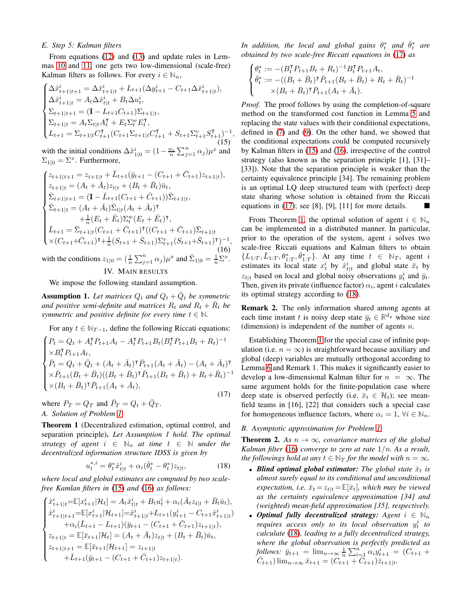# *E. Step 5: Kalman filters*

From equations [\(12\)](#page-4-0) and [\(13\)](#page-4-3) and update rules in Lemmas [10](#page-4-4) and [11,](#page-4-5) one gets two low-dimensional (scale-free) Kalman filters as follows. For every  $i \in \mathbb{N}_n$ ,

$$
\begin{cases}\n\Delta \hat{x}_{t+1|t+1}^{i} = \Delta \hat{x}_{t+1|t}^{i} + L_{t+1} (\Delta y_{t+1}^{i} - C_{t+1} \Delta \hat{x}_{t+1|t}^{i}), \\
\Delta \hat{x}_{t+1|t}^{i} = A_t \Delta \hat{x}_{t|t}^{i} + B_t \Delta u_t^{i}, \\
\Sigma_{t+1|t+1} = (\mathbf{I} - L_{t+1} C_{t+1}) \Sigma_{t+1|t}, \\
\Sigma_{t+1|t} = A_t \Sigma_{t|t} A_t^{\mathsf{T}} + E_t \Sigma_t^w E_t^{\mathsf{T}}, \\
L_{t+1} = \Sigma_{t+1|t} C_{t+1}^{\mathsf{T}} (C_{t+1} \Sigma_{t+1|t} C_{t+1}^{\mathsf{T}} + S_{t+1} \Sigma_{t+1}^v S_{t+1}^{\mathsf{T}})^{-1}\n\end{cases} (15)
$$

<span id="page-5-1"></span>,

with the initial conditions  $\Delta \hat{x}_{1|0}^i = (1 - \frac{\alpha_i}{n} \sum_{j=1}^n \alpha_j) \mu^x$  and  $\Sigma_{1|0} = \Sigma^x$ . Furthermore,

$$
\begin{cases}\nz_{t+1|t+1} = z_{t+1|t} + \bar{L}_{t+1}(\bar{y}_{t+1} - (C_{t+1} + \bar{C}_{t+1})z_{t+1|t}), \\
z_{t+1|t} = (A_t + \bar{A}_t)z_{t|t} + (B_t + \bar{B}_t)\bar{u}_t, \\
\bar{\Sigma}_{t+1|t+1} = (\mathbf{I} - \bar{L}_{t+1}(C_{t+1} + \bar{C}_{t+1}))\bar{\Sigma}_{t+1|t}, \\
\bar{\Sigma}_{t+1|t} = (A_t + \bar{A}_t)\bar{\Sigma}_{t|t}(A_t + \bar{A}_t)^{\mathsf{T}} \\
+ \frac{1}{n}(E_t + \bar{E}_t)\Sigma_t^w(E_t + \bar{E}_t)^{\mathsf{T}}, \\
\bar{L}_{t+1} = \bar{\Sigma}_{t+1|t}(C_{t+1} + \bar{C}_{t+1})^{\mathsf{T}}((C_{t+1} + \bar{C}_{t+1})\bar{\Sigma}_{t+1|t} \\
\times (C_{t+1} + \bar{C}_{t+1})^{\mathsf{T}} + \frac{1}{n}(S_{t+1} + \bar{S}_{t+1})\Sigma_{t+1}^w(S_{t+1} + \bar{S}_{t+1})^{\mathsf{T}})^{-1},\n\end{cases} (16)
$$
\nwith the conditions  $z_{1|0} = (\frac{1}{n}\sum_{j=1}^n \alpha_j)\mu^x$  and  $\bar{\Sigma}_{1|0} = \frac{1}{n}\sum_x^x$ .

<span id="page-5-0"></span> $^{\prime}1|0$  $\overline{n}$ IV. MAIN RESULTS

We impose the following standard assumption.

**Assumption 1.** Let matrices  $Q_t$  and  $Q_t + \overline{Q}_t$  be symmetric and positive semi-definite and matrices  $R_t$  and  $R_t + \bar{R}_t$  be *symmetric and positive definite for every time*  $t \in \mathbb{N}$ *.* 

For any  $t \in \mathbb{N}_{T-1}$ , define the following Riccati equations:

$$
\begin{cases}\nP_t = Q_t + A_t^\mathsf{T} P_{t+1} A_t - A_t^\mathsf{T} P_{t+1} B_t (B_t^\mathsf{T} P_{t+1} B_t + R_t)^{-1} \\
\times B_t^\mathsf{T} P_{t+1} A_t, \\
\bar{P}_t = Q_t + \bar{Q}_t + (A_t + \bar{A}_t)^\mathsf{T} \bar{P}_{t+1} (A_t + \bar{A}_t) - (A_t + \bar{A}_t)^\mathsf{T} \\
\times \bar{P}_{t+1} (B_t + \bar{B}_t) ((B_t + \bar{B}_t)^\mathsf{T} \bar{P}_{t+1} (B_t + \bar{B}_t) + R_t + \bar{R}_t)^{-1} \\
\times (B_t + \bar{B}_t)^\mathsf{T} \bar{P}_{t+1} (A_t + \bar{A}_t),\n\end{cases} \tag{17}
$$

where  $P_T = Q_T$  and  $\overline{P}_T = Q_t + \overline{Q}_T$ . *A. Solution of Problem [1](#page-2-9)*

<span id="page-5-4"></span>Theorem 1 (Decentralized estimation, optimal control, and separation principle). *Let Assumption 1 hold. The optimal strategy of agent*  $i \in \mathbb{N}_n$  *at time*  $t \in \mathbb{N}$  *under the decentralized information structure IDSS is given by*

$$
u_t^{*,i} = \theta_t^* \hat{x}_{t|t}^i + \alpha_i (\bar{\theta}_t^* - \theta_t^*) z_{t|t}, \tag{18}
$$

*where local and global estimates are computed by two scalefree Kamlan filters in* [\(15\)](#page-5-1) *and* [\(16\)](#page-5-2) *as follows:*

$$
\begin{cases}\n\hat{x}_{t+1|t}^i = \mathbb{E}[x_{t+1}^i | \mathcal{H}_t] = A_t \hat{x}_{t|t}^i + B_t u_t^i + \alpha_i (\bar{A}_t z_{t|t} + \bar{B}_t \bar{u}_t), \\
\hat{x}_{t+1|t+1}^i = \mathbb{E}[x_{t+1}^i | \mathcal{H}_{t+1}] = \hat{x}_{t+1|t}^i + L_{t+1}(y_{t+1}^i - C_{t+1} \hat{x}_{t+1|t}^i) \\
+ \alpha_i (\bar{L}_{t+1} - L_{t+1})(\bar{y}_{t+1} - (C_{t+1} + \bar{C}_{t+1}) z_{t+1|t}), \\
z_{t+1|t} = \mathbb{E}[\bar{x}_{t+1} | \mathcal{H}_t] = (A_t + \bar{A}_t) z_{t|t} + (B_t + \bar{B}_t) \bar{u}_t, \\
z_{t+1|t+1} = \mathbb{E}[\bar{x}_{t+1} | \mathcal{H}_{t+1}] = z_{t+1|t} \\
+ \bar{L}_{t+1} (\bar{y}_{t+1} - (C_{t+1} + \bar{C}_{t+1}) z_{t+1|t}).\n\end{cases}
$$

In addition, the local and global gains  $\theta^*_t$  and  $\bar{\theta}^*_t$  are *obtained by two scale-free Riccati equations in* [\(17\)](#page-5-3) *as*

$$
\begin{cases} \theta_t^* := -(B_t^{\mathsf{T}} P_{t+1} B_t + R_t)^{-1} B_t^{\mathsf{T}} P_{t+1} A_t, \\ \bar{\theta}_t^* := -((B_t + \bar{B}_t)^{\mathsf{T}} \bar{P}_{t+1} (B_t + \bar{B}_t) + R_t + \bar{R}_t)^{-1} \\ \times (B_t + \bar{B}_t)^{\mathsf{T}} \bar{P}_{t+1} (A_t + \bar{A}_t). \end{cases}
$$

*Proof.* The proof follows by using the completion-of-square method on the transformed cost function in Lemma [5](#page-2-10) and replacing the state values with their conditional expectations, defined in [\(7\)](#page-3-0) and [\(9\)](#page-3-1). On the other hand, we showed that the conditional expectations could be computed recursively by Kalman filters in [\(15\)](#page-5-1) and [\(16\)](#page-5-2), irrespective of the control strategy (also known as the separation principle [1], [31]– [33]). Note that the separation principle is weaker than the certainty equivalence principle [34]. The remaining problem is an optimal LQ deep structured team with (perfect) deep state sharing whose solution is obtained from the Riccati equations in [\(17\)](#page-5-3); see [8], [9], [11] for more details.

<span id="page-5-2"></span>From Theorem [1,](#page-5-4) the optimal solution of agent  $i \in \mathbb{N}_n$ can be implemented in a distributed manner. In particular, prior to the operation of the system, agent  $i$  solves two scale-free Riccati equations and Kalman filters to obtain  $\{L_{1:T}, \overline{L}_{1:T}, \theta_{1:T}^*, \overline{\theta_{1:T}}\}$ . At any time  $t \in \mathbb{N}_T$ , agent i estimates its local state  $x_t^i$  by  $\hat{x}_{t|t}^i$  and global state  $\bar{x}_t$  by  $z_{t}|_t$  based on local and global noisy observations  $y_t^i$  and  $\bar{y}_t$ . Then, given its private (influence factor)  $\alpha_i$ , agent *i* calculates its optimal strategy according to [\(18\)](#page-5-5).

Remark 2. The only information shared among agents at each time instant t is noisy deep state  $\bar{y}_t \in \mathbb{R}^{d_y}$  whose size (dimension) is independent of the number of agents  $n$ .

Establishing Theorem [1](#page-5-4) for the special case of infinite population (i.e.  $n = \infty$ ) is straightforward because auxiliary and global (deep) variables are mutually orthogonal according to Lemma [6](#page-2-4) and Remark 1. This makes it significantly easier to develop a low-dimensional Kalman filter for  $n = \infty$ . The same argument holds for the finite-population case where deep state is observed perfectly (i.e.  $\bar{x}_t \in \mathcal{H}_t$ ); see meanfield teams in [16], [22] that considers such a special case for homogeneous influence factors, where  $\alpha_i = 1$ ,  $\forall i \in \mathbb{N}_n$ .

#### <span id="page-5-3"></span>*B. Asymptotic approximation for Problem [1](#page-2-9)*

<span id="page-5-6"></span>**Theorem 2.** As  $n \to \infty$ , covariance matrices of the global *Kalman filter* [\(16\)](#page-5-2) *converge to zero at rate* 1/n*. As a result, the followings hold at any*  $t \in \mathbb{N}_T$  *for the model with*  $n = \infty$ *.* 

- <span id="page-5-5"></span>• *Blind optimal global estimator: The global state*  $\bar{x}_t$  *is almost surely equal to its conditional and unconditional expectation, i.e.*  $\bar{x}_t = z_{t|t} = \mathbb{E}[\bar{x}_t]$ *, which may be viewed as the certainty equivalence approximation [34] and (weighted) mean-field approximation [35], respectively.*
- *Optimal fully decentralized strategy:* Agent  $i \in \mathbb{N}_n$ *requires access only to its local observation*  $y_t^i$  *to calculate* [\(18\)](#page-5-5)*, leading to a fully decentralized strategy, where the global observation is perfectly predicted as follows:*  $\bar{y}_{t+1} = \lim_{n \to \infty} \frac{1}{n} \sum_{i=1}^{n} \alpha_i y_{t+1}^i = (C_{t+1} +$  $\overline{C}_{t+1}$ )  $\lim_{n\to\infty} \overline{x}_{t+1} = (C_{t+1}^n + \overline{C}_{t+1})\overline{z}_{t+1|t}.$